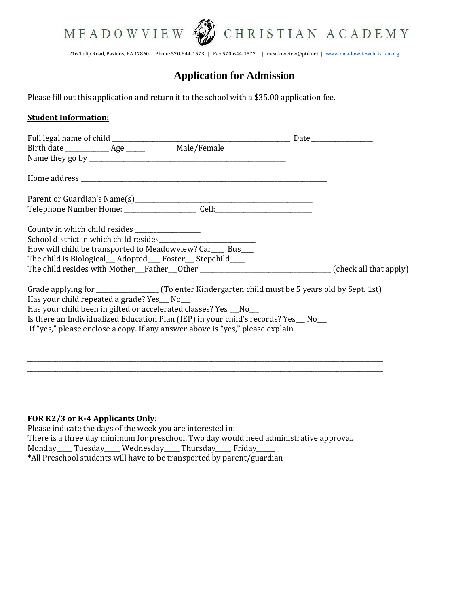



216 Tulip Road, Paxinos, PA 17860 | Phone 570-644-1573 | Fax 570-644-1572 | meadowview@ptd.net | [www.meadowviewchristian.org](http://www.meadowviewchristian.org/)

# **Application for Admission**

Please fill out this application and return it to the school with a \$35.00 application fee.

### **Student Information:**

| How will child be transported to Meadowview? Car___ Bus___                                              |  |  |
|---------------------------------------------------------------------------------------------------------|--|--|
| The child is Biological __ Adopted ___ Foster __ Stepchild ___                                          |  |  |
| The child resides with Mother__Father___Other ___________________________________(check all that apply) |  |  |
| Has your child repeated a grade? Yes __ No__                                                            |  |  |
| Has your child been in gifted or accelerated classes? Yes __No__                                        |  |  |
| Is there an Individualized Education Plan (IEP) in your child's records? Yes__ No__                     |  |  |
| If "yes," please enclose a copy. If any answer above is "yes," please explain.                          |  |  |
|                                                                                                         |  |  |
|                                                                                                         |  |  |

#### **FOR K2/3 or K-4 Applicants Only**:

Please indicate the days of the week you are interested in: There is a three day minimum for preschool. Two day would need administrative approval. Monday\_\_\_\_\_ Tuesday\_\_\_\_\_ Wednesday\_\_\_\_\_ Thursday\_\_\_\_\_ Friday\_\_\_ \*All Preschool students will have to be transported by parent/guardian

\_\_\_\_\_\_\_\_\_\_\_\_\_\_\_\_\_\_\_\_\_\_\_\_\_\_\_\_\_\_\_\_\_\_\_\_\_\_\_\_\_\_\_\_\_\_\_\_\_\_\_\_\_\_\_\_\_\_\_\_\_\_\_\_\_\_\_\_\_\_\_\_\_\_\_\_\_\_\_\_\_\_\_\_\_\_\_\_\_\_\_\_\_\_\_\_\_\_\_\_\_\_\_\_\_\_\_\_\_\_\_\_\_\_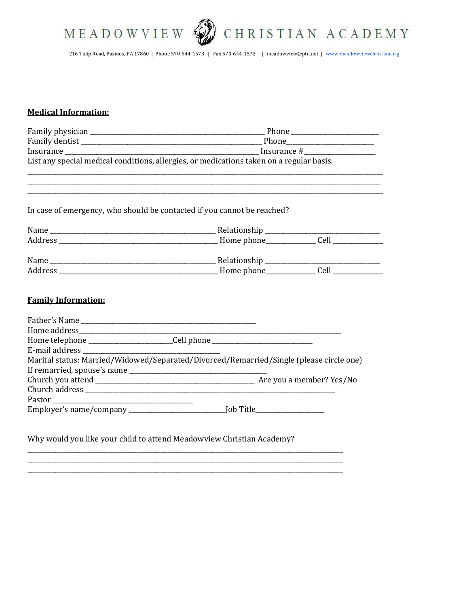



216 Tulip Road, Paxinos, PA 17860 | Phone 570-644-1573 | Fax 570-644-1572 | meadowview@ptd.net | www.meadowviewchristian.org

# **Medical Information:**

| List any special medical conditions, allergies, or medications taken on a regular basis. |                                                                                                                                                                                                                                                                                                                                                                                                                                                 |  |  |  |  |
|------------------------------------------------------------------------------------------|-------------------------------------------------------------------------------------------------------------------------------------------------------------------------------------------------------------------------------------------------------------------------------------------------------------------------------------------------------------------------------------------------------------------------------------------------|--|--|--|--|
|                                                                                          |                                                                                                                                                                                                                                                                                                                                                                                                                                                 |  |  |  |  |
|                                                                                          | In case of emergency, who should be contacted if you cannot be reached?                                                                                                                                                                                                                                                                                                                                                                         |  |  |  |  |
|                                                                                          |                                                                                                                                                                                                                                                                                                                                                                                                                                                 |  |  |  |  |
|                                                                                          |                                                                                                                                                                                                                                                                                                                                                                                                                                                 |  |  |  |  |
|                                                                                          |                                                                                                                                                                                                                                                                                                                                                                                                                                                 |  |  |  |  |
|                                                                                          |                                                                                                                                                                                                                                                                                                                                                                                                                                                 |  |  |  |  |
| <b>Family Information:</b>                                                               |                                                                                                                                                                                                                                                                                                                                                                                                                                                 |  |  |  |  |
|                                                                                          |                                                                                                                                                                                                                                                                                                                                                                                                                                                 |  |  |  |  |
|                                                                                          | $\label{thm:1} \text{Home address}\text{\textbf{1}} \text{—}\textit{1} \text{—}\textit{1} \text{—}\textit{1} \text{—}\textit{1} \text{—}\textit{1} \text{—}\textit{1} \text{—}\textit{1} \text{—}\textit{1} \text{—}\textit{1} \text{—}\textit{1} \text{—}\textit{1} \text{—}\textit{1} \text{—}\textit{1} \text{—}\textit{1} \text{—}\textit{1} \text{—}\textit{1} \text{—}\textit{1} \text{—}\textit{1} \text{—}\textit{1} \text{—}\textit{1$ |  |  |  |  |
|                                                                                          | Home telephone __________________________Cell phone ____________________________                                                                                                                                                                                                                                                                                                                                                                |  |  |  |  |
|                                                                                          |                                                                                                                                                                                                                                                                                                                                                                                                                                                 |  |  |  |  |
|                                                                                          | Marital status: Married/Widowed/Separated/Divorced/Remarried/Single (please circle one)                                                                                                                                                                                                                                                                                                                                                         |  |  |  |  |
|                                                                                          |                                                                                                                                                                                                                                                                                                                                                                                                                                                 |  |  |  |  |
|                                                                                          |                                                                                                                                                                                                                                                                                                                                                                                                                                                 |  |  |  |  |
|                                                                                          |                                                                                                                                                                                                                                                                                                                                                                                                                                                 |  |  |  |  |
|                                                                                          |                                                                                                                                                                                                                                                                                                                                                                                                                                                 |  |  |  |  |
|                                                                                          |                                                                                                                                                                                                                                                                                                                                                                                                                                                 |  |  |  |  |

Why would you like your child to attend Meadowview Christian Academy?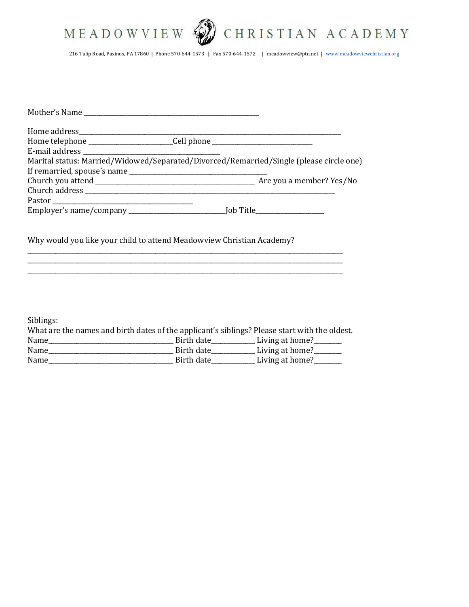



216 Tulip Road, Paxinos, PA 17860 | Phone 570-644-1573 | Fax 570-644-1572 | meadowview@ptd.net | [www.meadowviewchristian.org](http://www.meadowviewchristian.org/)

| Home telephone __________________________Cell phone ____________________________        |  |
|-----------------------------------------------------------------------------------------|--|
|                                                                                         |  |
| Marital status: Married/Widowed/Separated/Divorced/Remarried/Single (please circle one) |  |
|                                                                                         |  |
|                                                                                         |  |
|                                                                                         |  |
|                                                                                         |  |
|                                                                                         |  |
| Why would you like your child to attend Meadowview Christian Academy?                   |  |

Siblings:

| What are the names and birth dates of the applicant's siblings? Please start with the oldest. |            |                 |
|-----------------------------------------------------------------------------------------------|------------|-----------------|
| Name                                                                                          | Birth date | Living at home? |
| Name                                                                                          | Birth date | Living at home? |
| Name                                                                                          | Birth date | Living at home? |

\_\_\_\_\_\_\_\_\_\_\_\_\_\_\_\_\_\_\_\_\_\_\_\_\_\_\_\_\_\_\_\_\_\_\_\_\_\_\_\_\_\_\_\_\_\_\_\_\_\_\_\_\_\_\_\_\_\_\_\_\_\_\_\_\_\_\_\_\_\_\_\_\_\_\_\_\_\_\_\_\_\_\_\_\_\_\_\_\_\_\_\_\_\_\_\_\_\_\_\_\_ \_\_\_\_\_\_\_\_\_\_\_\_\_\_\_\_\_\_\_\_\_\_\_\_\_\_\_\_\_\_\_\_\_\_\_\_\_\_\_\_\_\_\_\_\_\_\_\_\_\_\_\_\_\_\_\_\_\_\_\_\_\_\_\_\_\_\_\_\_\_\_\_\_\_\_\_\_\_\_\_\_\_\_\_\_\_\_\_\_\_\_\_\_\_\_\_\_\_\_\_\_